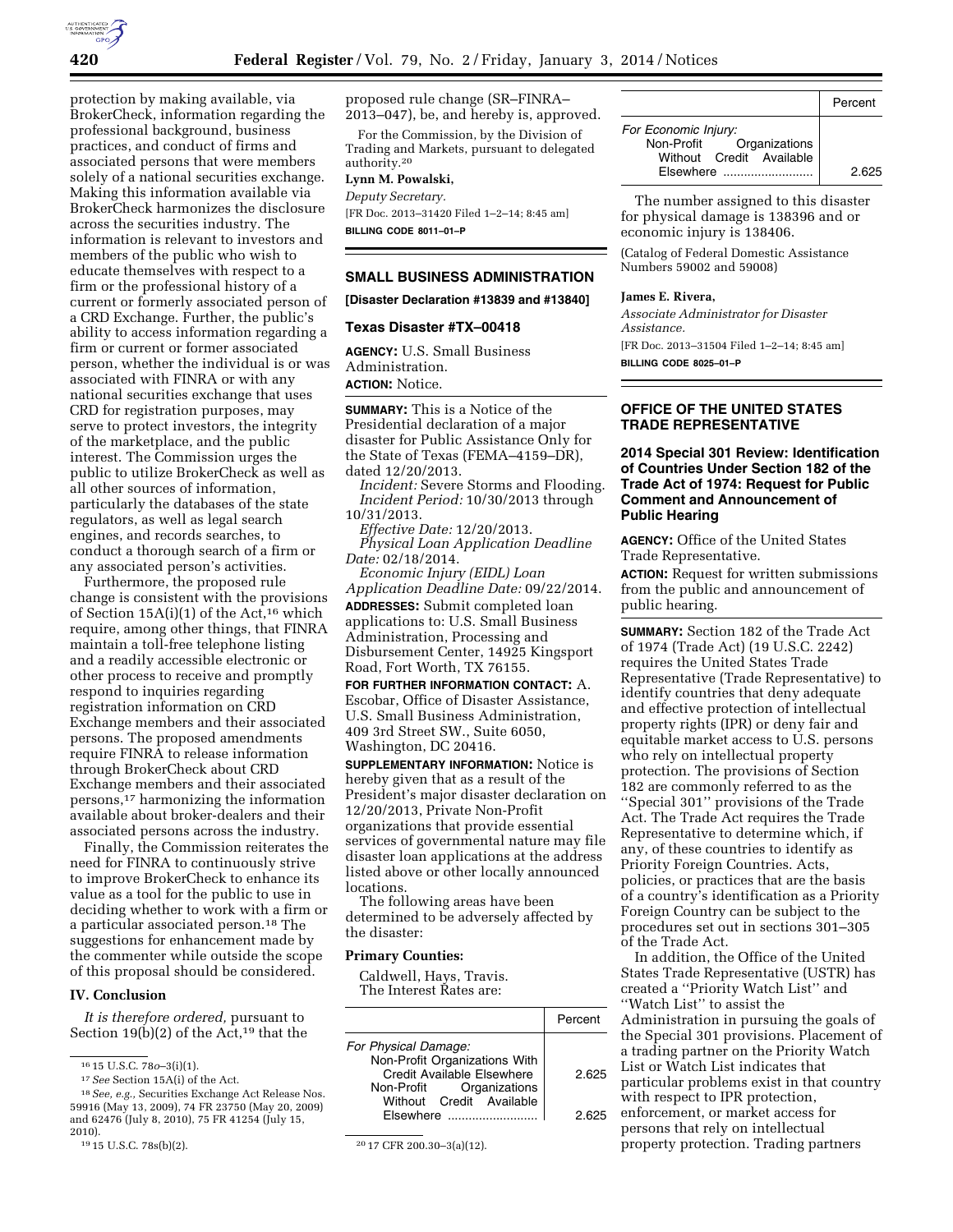

protection by making available, via BrokerCheck, information regarding the professional background, business practices, and conduct of firms and associated persons that were members solely of a national securities exchange. Making this information available via BrokerCheck harmonizes the disclosure across the securities industry. The information is relevant to investors and members of the public who wish to educate themselves with respect to a firm or the professional history of a current or formerly associated person of a CRD Exchange. Further, the public's ability to access information regarding a firm or current or former associated person, whether the individual is or was associated with FINRA or with any national securities exchange that uses CRD for registration purposes, may serve to protect investors, the integrity of the marketplace, and the public interest. The Commission urges the public to utilize BrokerCheck as well as all other sources of information, particularly the databases of the state regulators, as well as legal search engines, and records searches, to conduct a thorough search of a firm or any associated person's activities.

Furthermore, the proposed rule change is consistent with the provisions of Section 15A(i)(1) of the Act,<sup>16</sup> which require, among other things, that FINRA maintain a toll-free telephone listing and a readily accessible electronic or other process to receive and promptly respond to inquiries regarding registration information on CRD Exchange members and their associated persons. The proposed amendments require FINRA to release information through BrokerCheck about CRD Exchange members and their associated persons,17 harmonizing the information available about broker-dealers and their associated persons across the industry.

Finally, the Commission reiterates the need for FINRA to continuously strive to improve BrokerCheck to enhance its value as a tool for the public to use in deciding whether to work with a firm or a particular associated person.18 The suggestions for enhancement made by the commenter while outside the scope of this proposal should be considered.

#### **IV. Conclusion**

*It is therefore ordered,* pursuant to Section 19(b)(2) of the Act,<sup>19</sup> that the proposed rule change (SR–FINRA– 2013–047), be, and hereby is, approved.

For the Commission, by the Division of Trading and Markets, pursuant to delegated authority.20

# **Lynn M. Powalski,**

*Deputy Secretary.*  [FR Doc. 2013–31420 Filed 1–2–14; 8:45 am] **BILLING CODE 8011–01–P** 

## **SMALL BUSINESS ADMINISTRATION**

**[Disaster Declaration #13839 and #13840]** 

#### **Texas Disaster #TX–00418**

**AGENCY:** U.S. Small Business Administration. **ACTION:** Notice.

**SUMMARY:** This is a Notice of the Presidential declaration of a major disaster for Public Assistance Only for the State of Texas (FEMA–4159–DR), dated 12/20/2013.

*Incident:* Severe Storms and Flooding. *Incident Period:* 10/30/2013 through 10/31/2013.

*Effective Date:* 12/20/2013. *Physical Loan Application Deadline Date:* 02/18/2014.

*Economic Injury (EIDL) Loan Application Deadline Date:* 09/22/2014.

**ADDRESSES:** Submit completed loan applications to: U.S. Small Business Administration, Processing and Disbursement Center, 14925 Kingsport Road, Fort Worth, TX 76155.

**FOR FURTHER INFORMATION CONTACT:** A. Escobar, Office of Disaster Assistance, U.S. Small Business Administration, 409 3rd Street SW., Suite 6050, Washington, DC 20416.

**SUPPLEMENTARY INFORMATION:** Notice is hereby given that as a result of the President's major disaster declaration on 12/20/2013, Private Non-Profit organizations that provide essential services of governmental nature may file disaster loan applications at the address listed above or other locally announced locations.

The following areas have been determined to be adversely affected by the disaster:

## **Primary Counties:**

Caldwell, Hays, Travis. The Interest Rates are:

|                                                        | Percent |
|--------------------------------------------------------|---------|
| For Physical Damage:                                   |         |
| Non-Profit Organizations With                          |         |
| Credit Available Elsewhere<br>Non-Profit Organizations | 2.625   |
| Without Credit Available                               |         |
| $F$ is ewhere $\ldots$                                 | 2.625   |

<sup>&</sup>lt;sup>20</sup> 17 CFR 200.30-3(a)(12).

|                                                                              | Percent |
|------------------------------------------------------------------------------|---------|
| For Economic Injury:<br>Non-Profit Organizations<br>Without Credit Available |         |
| Elsewhere                                                                    | 2.625   |

The number assigned to this disaster for physical damage is 138396 and or economic injury is 138406.

(Catalog of Federal Domestic Assistance Numbers 59002 and 59008)

## **James E. Rivera,**

*Associate Administrator for Disaster Assistance.*  [FR Doc. 2013–31504 Filed 1–2–14; 8:45 am] **BILLING CODE 8025–01–P** 

## **OFFICE OF THE UNITED STATES TRADE REPRESENTATIVE**

## **2014 Special 301 Review: Identification of Countries Under Section 182 of the Trade Act of 1974: Request for Public Comment and Announcement of Public Hearing**

**AGENCY:** Office of the United States Trade Representative.

**ACTION:** Request for written submissions from the public and announcement of public hearing.

**SUMMARY:** Section 182 of the Trade Act of 1974 (Trade Act) (19 U.S.C. 2242) requires the United States Trade Representative (Trade Representative) to identify countries that deny adequate and effective protection of intellectual property rights (IPR) or deny fair and equitable market access to U.S. persons who rely on intellectual property protection. The provisions of Section 182 are commonly referred to as the ''Special 301'' provisions of the Trade Act. The Trade Act requires the Trade Representative to determine which, if any, of these countries to identify as Priority Foreign Countries. Acts, policies, or practices that are the basis of a country's identification as a Priority Foreign Country can be subject to the procedures set out in sections 301–305 of the Trade Act.

In addition, the Office of the United States Trade Representative (USTR) has created a ''Priority Watch List'' and ''Watch List'' to assist the Administration in pursuing the goals of the Special 301 provisions. Placement of a trading partner on the Priority Watch List or Watch List indicates that particular problems exist in that country with respect to IPR protection, enforcement, or market access for persons that rely on intellectual

property protection. Trading partners

<sup>16</sup> 15 U.S.C. 78*o*–3(i)(1).

<sup>17</sup>*See* Section 15A(i) of the Act.

<sup>18</sup>*See, e.g.,* Securities Exchange Act Release Nos. 59916 (May 13, 2009), 74 FR 23750 (May 20, 2009) and 62476 (July 8, 2010), 75 FR 41254 (July 15,

<sup>2010).&</sup>lt;br><sup>19</sup>15 U.S.C. 78s(b)(2).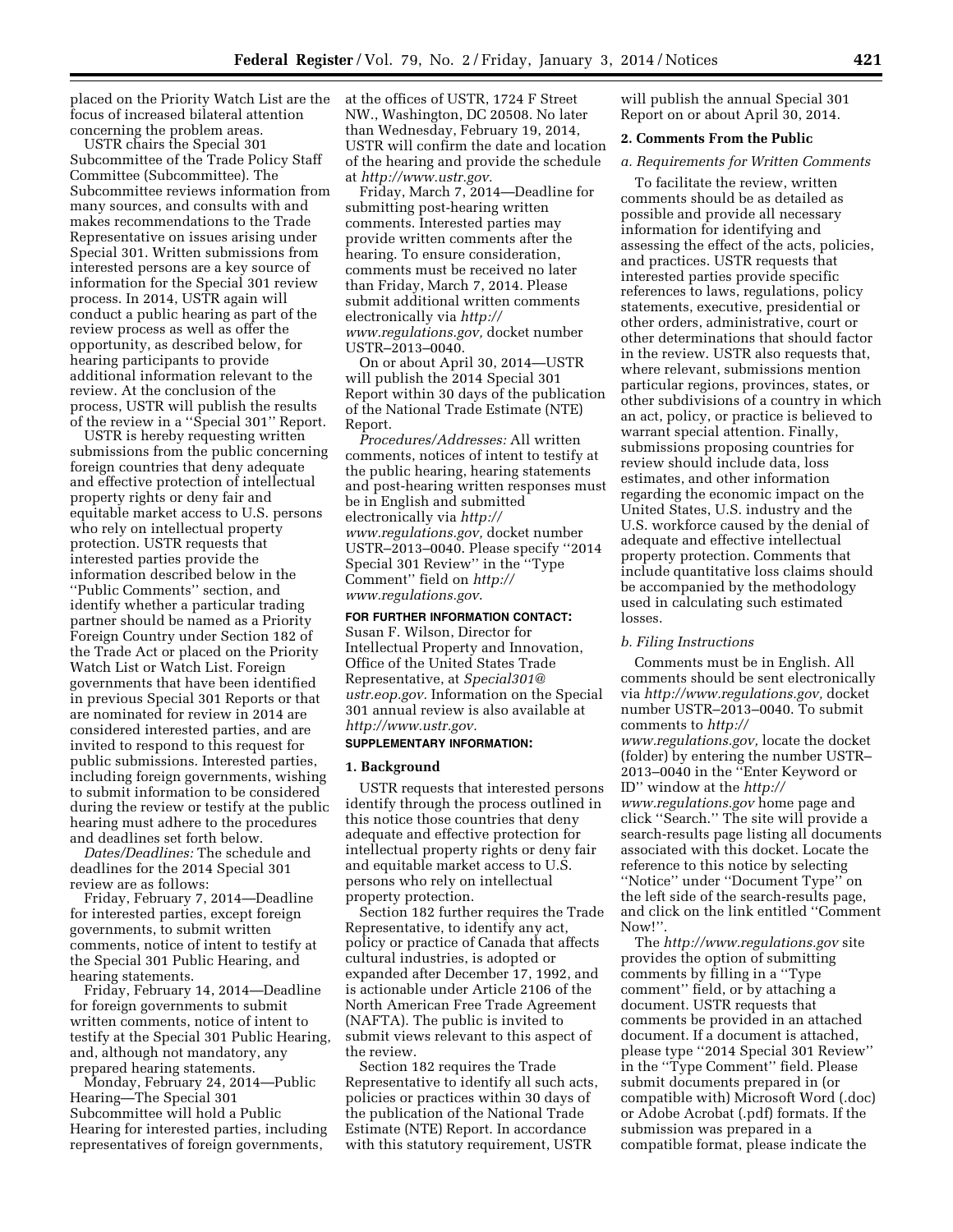placed on the Priority Watch List are the focus of increased bilateral attention concerning the problem areas.

USTR chairs the Special 301 Subcommittee of the Trade Policy Staff Committee (Subcommittee). The Subcommittee reviews information from many sources, and consults with and makes recommendations to the Trade Representative on issues arising under Special 301. Written submissions from interested persons are a key source of information for the Special 301 review process. In 2014, USTR again will conduct a public hearing as part of the review process as well as offer the opportunity, as described below, for hearing participants to provide additional information relevant to the review. At the conclusion of the process, USTR will publish the results of the review in a ''Special 301'' Report.

USTR is hereby requesting written submissions from the public concerning foreign countries that deny adequate and effective protection of intellectual property rights or deny fair and equitable market access to U.S. persons who rely on intellectual property protection. USTR requests that interested parties provide the information described below in the ''Public Comments'' section, and identify whether a particular trading partner should be named as a Priority Foreign Country under Section 182 of the Trade Act or placed on the Priority Watch List or Watch List. Foreign governments that have been identified in previous Special 301 Reports or that are nominated for review in 2014 are considered interested parties, and are invited to respond to this request for public submissions. Interested parties, including foreign governments, wishing to submit information to be considered during the review or testify at the public hearing must adhere to the procedures and deadlines set forth below.

*Dates/Deadlines:* The schedule and deadlines for the 2014 Special 301 review are as follows:

Friday, February 7, 2014—Deadline for interested parties, except foreign governments, to submit written comments, notice of intent to testify at the Special 301 Public Hearing, and hearing statements.

Friday, February 14, 2014—Deadline for foreign governments to submit written comments, notice of intent to testify at the Special 301 Public Hearing, and, although not mandatory, any prepared hearing statements.

Monday, February 24, 2014—Public Hearing—The Special 301 Subcommittee will hold a Public Hearing for interested parties, including representatives of foreign governments,

at the offices of USTR, 1724 F Street NW., Washington, DC 20508. No later than Wednesday, February 19, 2014, USTR will confirm the date and location of the hearing and provide the schedule at *[http://www.ustr.gov.](http://www.ustr.gov)* 

Friday, March 7, 2014—Deadline for submitting post-hearing written comments. Interested parties may provide written comments after the hearing. To ensure consideration, comments must be received no later than Friday, March 7, 2014. Please submit additional written comments electronically via *[http://](http://www.regulations.gov) [www.regulations.gov,](http://www.regulations.gov)* docket number USTR–2013–0040.

On or about April 30, 2014—USTR will publish the 2014 Special 301 Report within 30 days of the publication of the National Trade Estimate (NTE) Report.

*Procedures/Addresses:* All written comments, notices of intent to testify at the public hearing, hearing statements and post-hearing written responses must be in English and submitted electronically via *[http://](http://www.regulations.gov) [www.regulations.gov,](http://www.regulations.gov)* docket number USTR–2013–0040. Please specify ''2014 Special 301 Review'' in the ''Type Comment'' field on *[http://](http://www.regulations.gov) [www.regulations.gov](http://www.regulations.gov)*.

# **FOR FURTHER INFORMATION CONTACT:**

Susan F. Wilson, Director for Intellectual Property and Innovation, Office of the United States Trade Representative, at *[Special301@](mailto:Special301@ustr.eop.gov) [ustr.eop.gov.](mailto:Special301@ustr.eop.gov)* Information on the Special 301 annual review is also available at *[http://www.ustr.gov.](http://www.ustr.gov)* 

## **SUPPLEMENTARY INFORMATION:**

## **1. Background**

USTR requests that interested persons identify through the process outlined in this notice those countries that deny adequate and effective protection for intellectual property rights or deny fair and equitable market access to U.S. persons who rely on intellectual property protection.

Section 182 further requires the Trade Representative, to identify any act, policy or practice of Canada that affects cultural industries, is adopted or expanded after December 17, 1992, and is actionable under Article 2106 of the North American Free Trade Agreement (NAFTA). The public is invited to submit views relevant to this aspect of the review.

Section 182 requires the Trade Representative to identify all such acts, policies or practices within 30 days of the publication of the National Trade Estimate (NTE) Report. In accordance with this statutory requirement, USTR

will publish the annual Special 301 Report on or about April 30, 2014.

## **2. Comments From the Public**

## *a. Requirements for Written Comments*

To facilitate the review, written comments should be as detailed as possible and provide all necessary information for identifying and assessing the effect of the acts, policies, and practices. USTR requests that interested parties provide specific references to laws, regulations, policy statements, executive, presidential or other orders, administrative, court or other determinations that should factor in the review. USTR also requests that, where relevant, submissions mention particular regions, provinces, states, or other subdivisions of a country in which an act, policy, or practice is believed to warrant special attention. Finally, submissions proposing countries for review should include data, loss estimates, and other information regarding the economic impact on the United States, U.S. industry and the U.S. workforce caused by the denial of adequate and effective intellectual property protection. Comments that include quantitative loss claims should be accompanied by the methodology used in calculating such estimated losses.

#### *b. Filing Instructions*

Comments must be in English. All comments should be sent electronically via *[http://www.regulations.gov,](http://www.regulations.gov)* docket number USTR–2013–0040. To submit comments to *[http://](http://www.regulations.gov) [www.regulations.gov,](http://www.regulations.gov)* locate the docket (folder) by entering the number USTR– 2013–0040 in the ''Enter Keyword or ID'' window at the *[http://](http://www.regulations.gov) [www.regulations.gov](http://www.regulations.gov)* home page and click ''Search.'' The site will provide a search-results page listing all documents associated with this docket. Locate the reference to this notice by selecting ''Notice'' under ''Document Type'' on the left side of the search-results page, and click on the link entitled ''Comment Now!"

The *<http://www.regulations.gov>*site provides the option of submitting comments by filling in a ''Type comment'' field, or by attaching a document. USTR requests that comments be provided in an attached document. If a document is attached, please type ''2014 Special 301 Review'' in the ''Type Comment'' field. Please submit documents prepared in (or compatible with) Microsoft Word (.doc) or Adobe Acrobat (.pdf) formats. If the submission was prepared in a compatible format, please indicate the